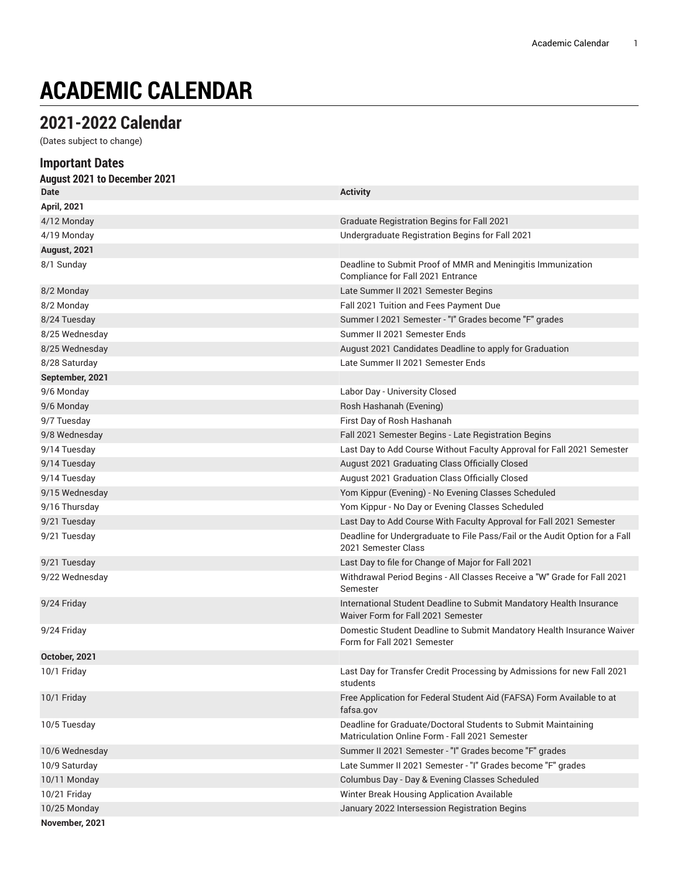# **ACADEMIC CALENDAR**

# **2021-2022 Calendar**

(Dates subject to change)

| <b>Important Dates</b>       |                                                                                                                 |
|------------------------------|-----------------------------------------------------------------------------------------------------------------|
| August 2021 to December 2021 |                                                                                                                 |
| <b>Date</b>                  | <b>Activity</b>                                                                                                 |
| <b>April, 2021</b>           |                                                                                                                 |
| 4/12 Monday                  | <b>Graduate Registration Begins for Fall 2021</b>                                                               |
| 4/19 Monday                  | Undergraduate Registration Begins for Fall 2021                                                                 |
| August, 2021                 |                                                                                                                 |
| 8/1 Sunday                   | Deadline to Submit Proof of MMR and Meningitis Immunization<br>Compliance for Fall 2021 Entrance                |
| 8/2 Monday                   | Late Summer II 2021 Semester Begins                                                                             |
| 8/2 Monday                   | Fall 2021 Tuition and Fees Payment Due                                                                          |
| 8/24 Tuesday                 | Summer I 2021 Semester - "I" Grades become "F" grades                                                           |
| 8/25 Wednesday               | Summer II 2021 Semester Ends                                                                                    |
| 8/25 Wednesday               | August 2021 Candidates Deadline to apply for Graduation                                                         |
| 8/28 Saturday                | Late Summer II 2021 Semester Ends                                                                               |
| September, 2021              |                                                                                                                 |
| 9/6 Monday                   | Labor Day - University Closed                                                                                   |
| 9/6 Monday                   | Rosh Hashanah (Evening)                                                                                         |
| 9/7 Tuesday                  | First Day of Rosh Hashanah                                                                                      |
| 9/8 Wednesday                | Fall 2021 Semester Begins - Late Registration Begins                                                            |
| 9/14 Tuesday                 | Last Day to Add Course Without Faculty Approval for Fall 2021 Semester                                          |
| 9/14 Tuesday                 | August 2021 Graduating Class Officially Closed                                                                  |
| 9/14 Tuesday                 | August 2021 Graduation Class Officially Closed                                                                  |
| 9/15 Wednesday               | Yom Kippur (Evening) - No Evening Classes Scheduled                                                             |
| 9/16 Thursday                | Yom Kippur - No Day or Evening Classes Scheduled                                                                |
| 9/21 Tuesday                 | Last Day to Add Course With Faculty Approval for Fall 2021 Semester                                             |
| 9/21 Tuesday                 | Deadline for Undergraduate to File Pass/Fail or the Audit Option for a Fall<br>2021 Semester Class              |
| 9/21 Tuesday                 | Last Day to file for Change of Major for Fall 2021                                                              |
| 9/22 Wednesday               | Withdrawal Period Begins - All Classes Receive a "W" Grade for Fall 2021<br>Semester                            |
| 9/24 Friday                  | International Student Deadline to Submit Mandatory Health Insurance<br>Waiver Form for Fall 2021 Semester       |
| 9/24 Friday                  | Domestic Student Deadline to Submit Mandatory Health Insurance Waiver<br>Form for Fall 2021 Semester            |
| October, 2021                |                                                                                                                 |
| 10/1 Friday                  | Last Day for Transfer Credit Processing by Admissions for new Fall 2021<br>students                             |
| 10/1 Friday                  | Free Application for Federal Student Aid (FAFSA) Form Available to at<br>fafsa.gov                              |
| 10/5 Tuesday                 | Deadline for Graduate/Doctoral Students to Submit Maintaining<br>Matriculation Online Form - Fall 2021 Semester |
| 10/6 Wednesday               | Summer II 2021 Semester - "I" Grades become "F" grades                                                          |
| 10/9 Saturday                | Late Summer II 2021 Semester - "I" Grades become "F" grades                                                     |
| 10/11 Monday                 | Columbus Day - Day & Evening Classes Scheduled                                                                  |
| 10/21 Friday                 | Winter Break Housing Application Available                                                                      |
| 10/25 Monday                 | January 2022 Intersession Registration Begins                                                                   |
| November, 2021               |                                                                                                                 |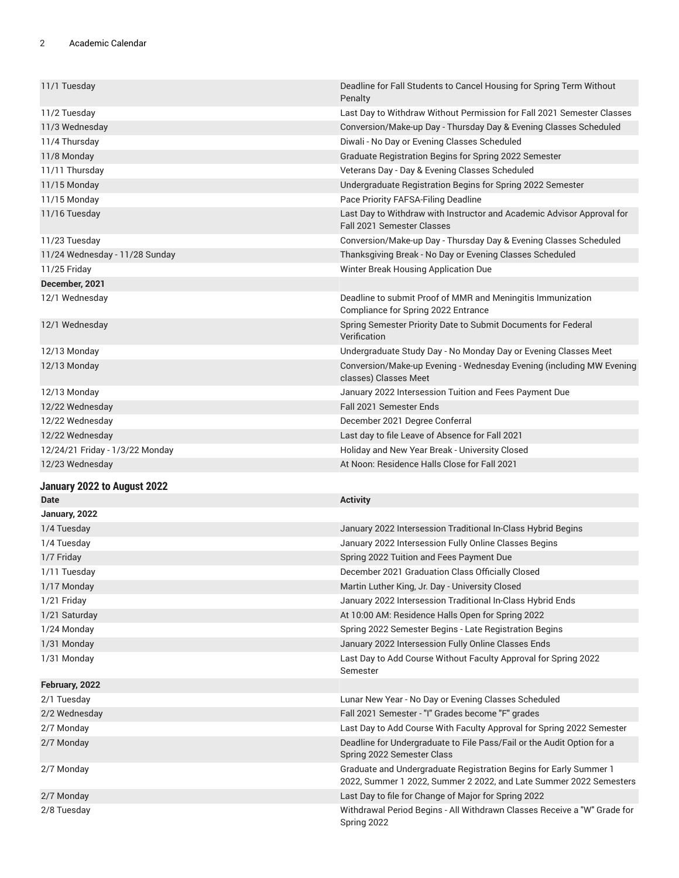| 11/1 Tuesday                    | Deadline for Fall Students to Cancel Housing for Spring Term Without<br>Penalty                                                         |
|---------------------------------|-----------------------------------------------------------------------------------------------------------------------------------------|
| 11/2 Tuesday                    | Last Day to Withdraw Without Permission for Fall 2021 Semester Classes                                                                  |
| 11/3 Wednesday                  | Conversion/Make-up Day - Thursday Day & Evening Classes Scheduled                                                                       |
| 11/4 Thursday                   | Diwali - No Day or Evening Classes Scheduled                                                                                            |
| 11/8 Monday                     | Graduate Registration Begins for Spring 2022 Semester                                                                                   |
| 11/11 Thursday                  | Veterans Day - Day & Evening Classes Scheduled                                                                                          |
| 11/15 Monday                    | Undergraduate Registration Begins for Spring 2022 Semester                                                                              |
| 11/15 Monday                    | Pace Priority FAFSA-Filing Deadline                                                                                                     |
| 11/16 Tuesday                   | Last Day to Withdraw with Instructor and Academic Advisor Approval for<br><b>Fall 2021 Semester Classes</b>                             |
| 11/23 Tuesday                   | Conversion/Make-up Day - Thursday Day & Evening Classes Scheduled                                                                       |
| 11/24 Wednesday - 11/28 Sunday  | Thanksgiving Break - No Day or Evening Classes Scheduled                                                                                |
| 11/25 Friday                    | Winter Break Housing Application Due                                                                                                    |
| December, 2021                  |                                                                                                                                         |
| 12/1 Wednesday                  | Deadline to submit Proof of MMR and Meningitis Immunization<br>Compliance for Spring 2022 Entrance                                      |
| 12/1 Wednesday                  | Spring Semester Priority Date to Submit Documents for Federal<br>Verification                                                           |
| 12/13 Monday                    | Undergraduate Study Day - No Monday Day or Evening Classes Meet                                                                         |
| 12/13 Monday                    | Conversion/Make-up Evening - Wednesday Evening (including MW Evening<br>classes) Classes Meet                                           |
| 12/13 Monday                    | January 2022 Intersession Tuition and Fees Payment Due                                                                                  |
| 12/22 Wednesday                 | <b>Fall 2021 Semester Ends</b>                                                                                                          |
| 12/22 Wednesday                 | December 2021 Degree Conferral                                                                                                          |
| 12/22 Wednesday                 | Last day to file Leave of Absence for Fall 2021                                                                                         |
| 12/24/21 Friday - 1/3/22 Monday | Holiday and New Year Break - University Closed                                                                                          |
| 12/23 Wednesday                 | At Noon: Residence Halls Close for Fall 2021                                                                                            |
| January 2022 to August 2022     |                                                                                                                                         |
| Date                            | <b>Activity</b>                                                                                                                         |
| January, 2022                   |                                                                                                                                         |
| 1/4 Tuesday                     | January 2022 Intersession Traditional In-Class Hybrid Begins                                                                            |
| 1/4 Tuesday                     | January 2022 Intersession Fully Online Classes Begins                                                                                   |
| 1/7 Friday                      | Spring 2022 Tuition and Fees Payment Due                                                                                                |
| 1/11 Tuesday                    | December 2021 Graduation Class Officially Closed                                                                                        |
| 1/17 Monday                     | Martin Luther King, Jr. Day - University Closed                                                                                         |
| 1/21 Friday                     | January 2022 Intersession Traditional In-Class Hybrid Ends                                                                              |
| 1/21 Saturday                   | At 10:00 AM: Residence Halls Open for Spring 2022                                                                                       |
| 1/24 Monday                     | Spring 2022 Semester Begins - Late Registration Begins                                                                                  |
| 1/31 Monday                     | January 2022 Intersession Fully Online Classes Ends                                                                                     |
| 1/31 Monday                     | Last Day to Add Course Without Faculty Approval for Spring 2022<br>Semester                                                             |
| February, 2022                  |                                                                                                                                         |
| 2/1 Tuesday                     | Lunar New Year - No Day or Evening Classes Scheduled                                                                                    |
| 2/2 Wednesday                   | Fall 2021 Semester - "I" Grades become "F" grades                                                                                       |
| 2/7 Monday                      | Last Day to Add Course With Faculty Approval for Spring 2022 Semester                                                                   |
| 2/7 Monday                      | Deadline for Undergraduate to File Pass/Fail or the Audit Option for a<br>Spring 2022 Semester Class                                    |
| 2/7 Monday                      | Graduate and Undergraduate Registration Begins for Early Summer 1<br>2022, Summer 1 2022, Summer 2 2022, and Late Summer 2022 Semesters |
| 2/7 Monday                      | Last Day to file for Change of Major for Spring 2022                                                                                    |
| 2/8 Tuesday                     | Withdrawal Period Begins - All Withdrawn Classes Receive a "W" Grade for<br>Spring 2022                                                 |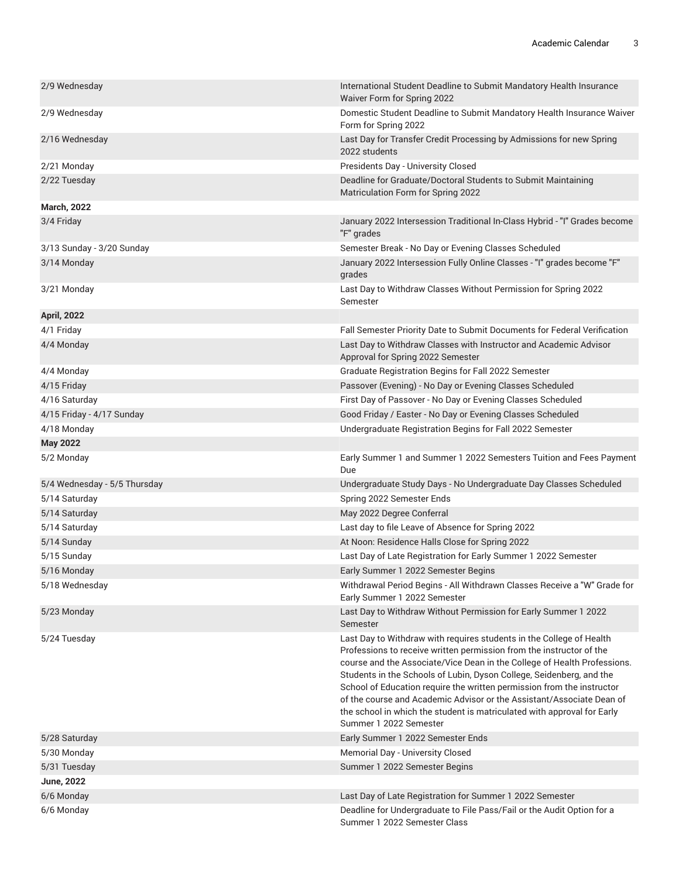| 2/9 Wednesday                | International Student Deadline to Submit Mandatory Health Insurance<br>Waiver Form for Spring 2022                                                                                                                                                                                                                                                                                                                                                                                                                             |
|------------------------------|--------------------------------------------------------------------------------------------------------------------------------------------------------------------------------------------------------------------------------------------------------------------------------------------------------------------------------------------------------------------------------------------------------------------------------------------------------------------------------------------------------------------------------|
| 2/9 Wednesday                | Domestic Student Deadline to Submit Mandatory Health Insurance Waiver<br>Form for Spring 2022                                                                                                                                                                                                                                                                                                                                                                                                                                  |
| 2/16 Wednesday               | Last Day for Transfer Credit Processing by Admissions for new Spring<br>2022 students                                                                                                                                                                                                                                                                                                                                                                                                                                          |
| 2/21 Monday                  | Presidents Day - University Closed                                                                                                                                                                                                                                                                                                                                                                                                                                                                                             |
| 2/22 Tuesday                 | Deadline for Graduate/Doctoral Students to Submit Maintaining<br>Matriculation Form for Spring 2022                                                                                                                                                                                                                                                                                                                                                                                                                            |
| <b>March, 2022</b>           |                                                                                                                                                                                                                                                                                                                                                                                                                                                                                                                                |
| 3/4 Friday                   | January 2022 Intersession Traditional In-Class Hybrid - "I" Grades become<br>"F" grades                                                                                                                                                                                                                                                                                                                                                                                                                                        |
| 3/13 Sunday - 3/20 Sunday    | Semester Break - No Day or Evening Classes Scheduled                                                                                                                                                                                                                                                                                                                                                                                                                                                                           |
| 3/14 Monday                  | January 2022 Intersession Fully Online Classes - "I" grades become "F"<br>grades                                                                                                                                                                                                                                                                                                                                                                                                                                               |
| 3/21 Monday                  | Last Day to Withdraw Classes Without Permission for Spring 2022<br>Semester                                                                                                                                                                                                                                                                                                                                                                                                                                                    |
| <b>April, 2022</b>           |                                                                                                                                                                                                                                                                                                                                                                                                                                                                                                                                |
| 4/1 Friday                   | Fall Semester Priority Date to Submit Documents for Federal Verification                                                                                                                                                                                                                                                                                                                                                                                                                                                       |
| 4/4 Monday                   | Last Day to Withdraw Classes with Instructor and Academic Advisor<br>Approval for Spring 2022 Semester                                                                                                                                                                                                                                                                                                                                                                                                                         |
| 4/4 Monday                   | Graduate Registration Begins for Fall 2022 Semester                                                                                                                                                                                                                                                                                                                                                                                                                                                                            |
| 4/15 Friday                  | Passover (Evening) - No Day or Evening Classes Scheduled                                                                                                                                                                                                                                                                                                                                                                                                                                                                       |
| 4/16 Saturday                | First Day of Passover - No Day or Evening Classes Scheduled                                                                                                                                                                                                                                                                                                                                                                                                                                                                    |
| 4/15 Friday - 4/17 Sunday    | Good Friday / Easter - No Day or Evening Classes Scheduled                                                                                                                                                                                                                                                                                                                                                                                                                                                                     |
| 4/18 Monday                  | Undergraduate Registration Begins for Fall 2022 Semester                                                                                                                                                                                                                                                                                                                                                                                                                                                                       |
| <b>May 2022</b>              |                                                                                                                                                                                                                                                                                                                                                                                                                                                                                                                                |
| 5/2 Monday                   | Early Summer 1 and Summer 1 2022 Semesters Tuition and Fees Payment<br>Due                                                                                                                                                                                                                                                                                                                                                                                                                                                     |
| 5/4 Wednesday - 5/5 Thursday | Undergraduate Study Days - No Undergraduate Day Classes Scheduled                                                                                                                                                                                                                                                                                                                                                                                                                                                              |
| 5/14 Saturday                | Spring 2022 Semester Ends                                                                                                                                                                                                                                                                                                                                                                                                                                                                                                      |
| 5/14 Saturday                | May 2022 Degree Conferral                                                                                                                                                                                                                                                                                                                                                                                                                                                                                                      |
| 5/14 Saturday                | Last day to file Leave of Absence for Spring 2022                                                                                                                                                                                                                                                                                                                                                                                                                                                                              |
| 5/14 Sunday                  | At Noon: Residence Halls Close for Spring 2022                                                                                                                                                                                                                                                                                                                                                                                                                                                                                 |
| 5/15 Sunday                  | Last Day of Late Registration for Early Summer 1 2022 Semester                                                                                                                                                                                                                                                                                                                                                                                                                                                                 |
| 5/16 Monday                  | Early Summer 1 2022 Semester Begins                                                                                                                                                                                                                                                                                                                                                                                                                                                                                            |
| 5/18 Wednesday               | Withdrawal Period Begins - All Withdrawn Classes Receive a "W" Grade for<br>Early Summer 1 2022 Semester                                                                                                                                                                                                                                                                                                                                                                                                                       |
| 5/23 Monday                  | Last Day to Withdraw Without Permission for Early Summer 1 2022<br>Semester                                                                                                                                                                                                                                                                                                                                                                                                                                                    |
| 5/24 Tuesday                 | Last Day to Withdraw with requires students in the College of Health<br>Professions to receive written permission from the instructor of the<br>course and the Associate/Vice Dean in the College of Health Professions.<br>Students in the Schools of Lubin, Dyson College, Seidenberg, and the<br>School of Education require the written permission from the instructor<br>of the course and Academic Advisor or the Assistant/Associate Dean of<br>the school in which the student is matriculated with approval for Early |
|                              | Summer 1 2022 Semester                                                                                                                                                                                                                                                                                                                                                                                                                                                                                                         |
| 5/28 Saturday                | Early Summer 1 2022 Semester Ends                                                                                                                                                                                                                                                                                                                                                                                                                                                                                              |
| 5/30 Monday                  | Memorial Day - University Closed                                                                                                                                                                                                                                                                                                                                                                                                                                                                                               |
| 5/31 Tuesday                 | Summer 1 2022 Semester Begins                                                                                                                                                                                                                                                                                                                                                                                                                                                                                                  |
| <b>June, 2022</b>            |                                                                                                                                                                                                                                                                                                                                                                                                                                                                                                                                |
| 6/6 Monday<br>6/6 Monday     | Last Day of Late Registration for Summer 1 2022 Semester<br>Deadline for Undergraduate to File Pass/Fail or the Audit Option for a                                                                                                                                                                                                                                                                                                                                                                                             |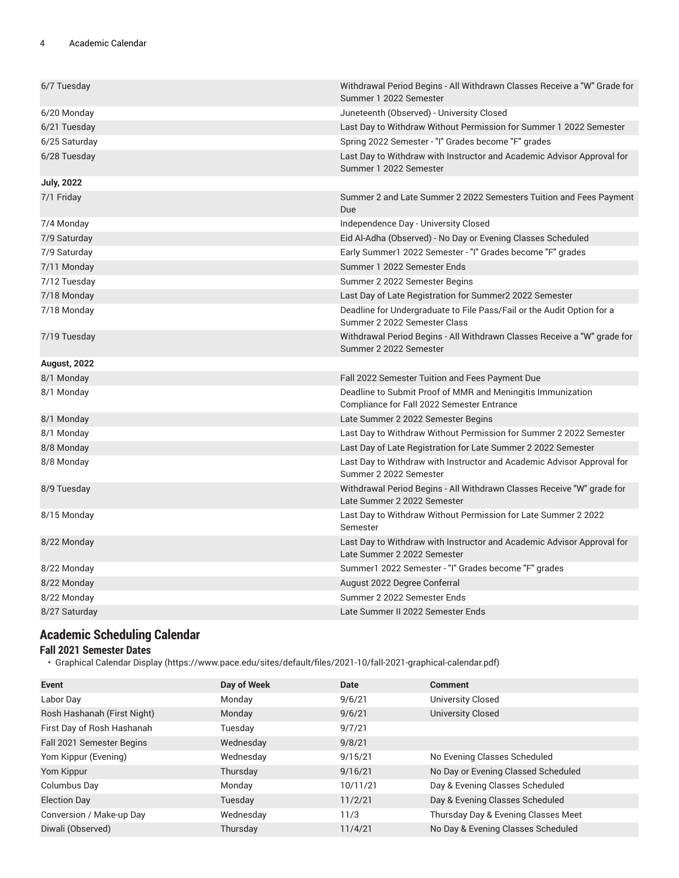#### 4 Academic Calendar

| 6/7 Tuesday         | Withdrawal Period Begins - All Withdrawn Classes Receive a "W" Grade for<br>Summer 1 2022 Semester        |
|---------------------|-----------------------------------------------------------------------------------------------------------|
| 6/20 Monday         | Juneteenth (Observed) - University Closed                                                                 |
| 6/21 Tuesday        | Last Day to Withdraw Without Permission for Summer 1 2022 Semester                                        |
| 6/25 Saturday       | Spring 2022 Semester - "I" Grades become "F" grades                                                       |
| 6/28 Tuesday        | Last Day to Withdraw with Instructor and Academic Advisor Approval for<br>Summer 1 2022 Semester          |
| <b>July, 2022</b>   |                                                                                                           |
| 7/1 Friday          | Summer 2 and Late Summer 2 2022 Semesters Tuition and Fees Payment<br>Due                                 |
| 7/4 Monday          | Independence Day - University Closed                                                                      |
| 7/9 Saturday        | Eid Al-Adha (Observed) - No Day or Evening Classes Scheduled                                              |
| 7/9 Saturday        | Early Summer1 2022 Semester - "I" Grades become "F" grades                                                |
| 7/11 Monday         | Summer 1 2022 Semester Ends                                                                               |
| 7/12 Tuesday        | Summer 2 2022 Semester Begins                                                                             |
| 7/18 Monday         | Last Day of Late Registration for Summer2 2022 Semester                                                   |
| 7/18 Monday         | Deadline for Undergraduate to File Pass/Fail or the Audit Option for a<br>Summer 2 2022 Semester Class    |
| 7/19 Tuesday        | Withdrawal Period Begins - All Withdrawn Classes Receive a "W" grade for<br>Summer 2 2022 Semester        |
| <b>August, 2022</b> |                                                                                                           |
| 8/1 Monday          | Fall 2022 Semester Tuition and Fees Payment Due                                                           |
| 8/1 Monday          | Deadline to Submit Proof of MMR and Meningitis Immunization<br>Compliance for Fall 2022 Semester Entrance |
| 8/1 Monday          | Late Summer 2 2022 Semester Begins                                                                        |
| 8/1 Monday          | Last Day to Withdraw Without Permission for Summer 2 2022 Semester                                        |
| 8/8 Monday          | Last Day of Late Registration for Late Summer 2 2022 Semester                                             |
| 8/8 Monday          | Last Day to Withdraw with Instructor and Academic Advisor Approval for<br>Summer 2 2022 Semester          |
| 8/9 Tuesday         | Withdrawal Period Begins - All Withdrawn Classes Receive "W" grade for<br>Late Summer 2 2022 Semester     |
| 8/15 Monday         | Last Day to Withdraw Without Permission for Late Summer 2 2022<br>Semester                                |
| 8/22 Monday         | Last Day to Withdraw with Instructor and Academic Advisor Approval for<br>Late Summer 2 2022 Semester     |
| 8/22 Monday         | Summer1 2022 Semester - "I" Grades become "F" grades                                                      |
| 8/22 Monday         | August 2022 Degree Conferral                                                                              |
| 8/22 Monday         | Summer 2 2022 Semester Ends                                                                               |
| 8/27 Saturday       | Late Summer II 2022 Semester Ends                                                                         |
|                     |                                                                                                           |

# **Academic Scheduling Calendar**

#### **Fall 2021 Semester Dates**

• [Graphical](https://www.pace.edu/sites/default/files/2021-10/fall-2021-graphical-calendar.pdf) Calendar Display [\(https://www.pace.edu/sites/default/files/2021-10/fall-2021-graphical-calendar.pdf\)](https://www.pace.edu/sites/default/files/2021-10/fall-2021-graphical-calendar.pdf)

| Event                       | Day of Week | <b>Date</b> | <b>Comment</b>                      |
|-----------------------------|-------------|-------------|-------------------------------------|
| Labor Day                   | Monday      | 9/6/21      | University Closed                   |
| Rosh Hashanah (First Night) | Monday      | 9/6/21      | <b>University Closed</b>            |
| First Day of Rosh Hashanah  | Tuesday     | 9/7/21      |                                     |
| Fall 2021 Semester Begins   | Wednesday   | 9/8/21      |                                     |
| Yom Kippur (Evening)        | Wednesday   | 9/15/21     | No Evening Classes Scheduled        |
| Yom Kippur                  | Thursday    | 9/16/21     | No Day or Evening Classed Scheduled |
| Columbus Day                | Monday      | 10/11/21    | Day & Evening Classes Scheduled     |
| <b>Election Day</b>         | Tuesday     | 11/2/21     | Day & Evening Classes Scheduled     |
| Conversion / Make-up Day    | Wednesday   | 11/3        | Thursday Day & Evening Classes Meet |
| Diwali (Observed)           | Thursday    | 11/4/21     | No Day & Evening Classes Scheduled  |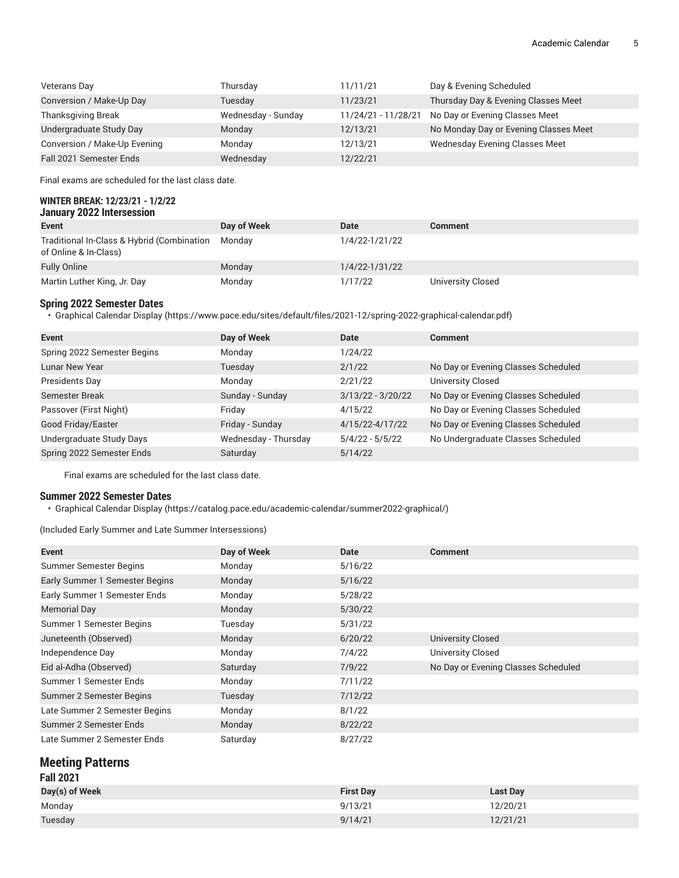| Veterans Day                 | Thursday           | 11/11/21            | Day & Evening Scheduled               |
|------------------------------|--------------------|---------------------|---------------------------------------|
| Conversion / Make-Up Day     | Tuesday            | 11/23/21            | Thursday Day & Evening Classes Meet   |
| <b>Thanksgiving Break</b>    | Wednesday - Sunday | 11/24/21 - 11/28/21 | No Day or Evening Classes Meet        |
| Undergraduate Study Day      | Monday             | 12/13/21            | No Monday Day or Evening Classes Meet |
| Conversion / Make-Up Evening | Monday             | 12/13/21            | Wednesday Evening Classes Meet        |
| Fall 2021 Semester Ends      | Wednesday          | 12/22/21            |                                       |

Final exams are scheduled for the last class date.

#### **WINTER BREAK: 12/23/21 - 1/2/22 January 2022 Intersession**

| -------                                                             |             |                |                   |
|---------------------------------------------------------------------|-------------|----------------|-------------------|
| <b>Event</b>                                                        | Day of Week | Date           | <b>Comment</b>    |
| Traditional In-Class & Hybrid (Combination<br>of Online & In-Class) | Mondav      | 1/4/22-1/21/22 |                   |
| <b>Fully Online</b>                                                 | Monday      | 1/4/22-1/31/22 |                   |
| Martin Luther King, Jr. Day                                         | Monday      | 1/17/22        | University Closed |

#### **Spring 2022 Semester Dates**

• [Graphical](https://www.pace.edu/sites/default/files/2021-12/spring-2022-graphical-calendar.pdf) Calendar Display [\(https://www.pace.edu/sites/default/files/2021-12/spring-2022-graphical-calendar.pdf](https://www.pace.edu/sites/default/files/2021-12/spring-2022-graphical-calendar.pdf))

| <b>Event</b>                | Day of Week          | Date                | <b>Comment</b>                      |
|-----------------------------|----------------------|---------------------|-------------------------------------|
| Spring 2022 Semester Begins | Monday               | 1/24/22             |                                     |
| <b>Lunar New Year</b>       | Tuesday              | 2/1/22              | No Day or Evening Classes Scheduled |
| Presidents Day              | Monday               | 2/21/22             | University Closed                   |
| Semester Break              | Sunday - Sunday      | $3/13/22 - 3/20/22$ | No Day or Evening Classes Scheduled |
| Passover (First Night)      | Fridav               | 4/15/22             | No Day or Evening Classes Scheduled |
| Good Friday/Easter          | Friday - Sunday      | 4/15/22-4/17/22     | No Day or Evening Classes Scheduled |
| Undergraduate Study Days    | Wednesday - Thursday | $5/4/22 - 5/5/22$   | No Undergraduate Classes Scheduled  |
| Spring 2022 Semester Ends   | Saturday             | 5/14/22             |                                     |

Final exams are scheduled for the last class date.

#### **Summer 2022 Semester Dates**

• [Graphical](https://catalog.pace.edu/academic-calendar/summer2022-graphical/) Calendar Display [\(https://catalog.pace.edu/academic-calendar/summer2022-graphical/\)](https://catalog.pace.edu/academic-calendar/summer2022-graphical/)

(Included Early Summer and Late Summer Intersessions)

| Event                          | Day of Week | Date    | <b>Comment</b>                      |
|--------------------------------|-------------|---------|-------------------------------------|
| Summer Semester Begins         | Monday      | 5/16/22 |                                     |
| Early Summer 1 Semester Begins | Monday      | 5/16/22 |                                     |
| Early Summer 1 Semester Ends   | Monday      | 5/28/22 |                                     |
| <b>Memorial Day</b>            | Monday      | 5/30/22 |                                     |
| Summer 1 Semester Begins       | Tuesday     | 5/31/22 |                                     |
| Juneteenth (Observed)          | Monday      | 6/20/22 | <b>University Closed</b>            |
| Independence Day               | Monday      | 7/4/22  | University Closed                   |
| Eid al-Adha (Observed)         | Saturday    | 7/9/22  | No Day or Evening Classes Scheduled |
| Summer 1 Semester Ends         | Monday      | 7/11/22 |                                     |
| Summer 2 Semester Begins       | Tuesday     | 7/12/22 |                                     |
| Late Summer 2 Semester Begins  | Monday      | 8/1/22  |                                     |
| Summer 2 Semester Ends         | Monday      | 8/22/22 |                                     |
| Late Summer 2 Semester Ends    | Saturday    | 8/27/22 |                                     |

### **Meeting Patterns**

| <b>Fall 2021</b> |                  |                 |
|------------------|------------------|-----------------|
| Day(s) of Week   | <b>First Dav</b> | <b>Last Day</b> |
| Monday           | 9/13/21          | 12/20/21        |
| Tuesday          | 9/14/21          | 12/21/21        |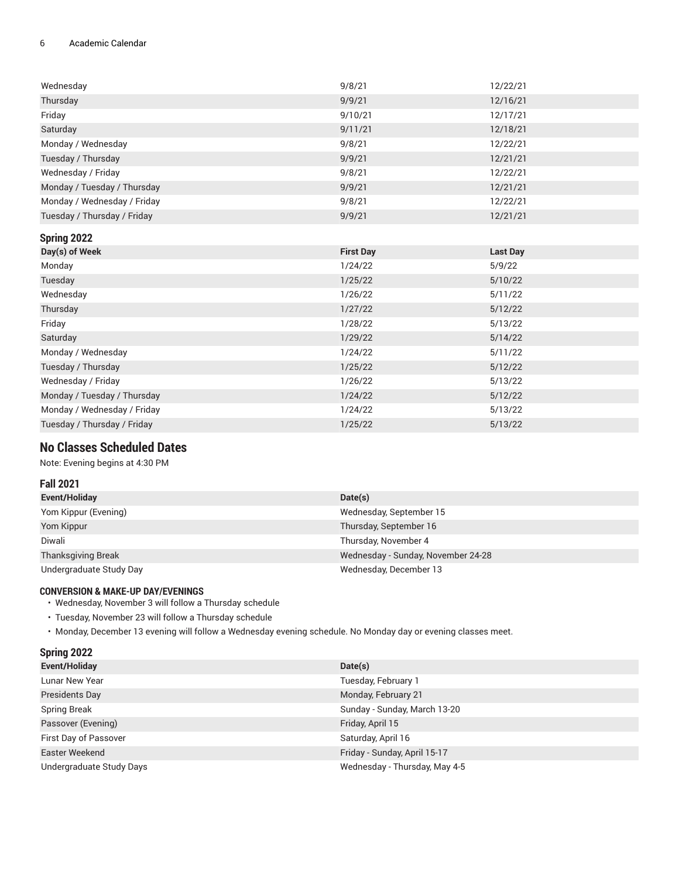#### 6 Academic Calendar

| Wednesday                   | 9/8/21           | 12/22/21        |
|-----------------------------|------------------|-----------------|
| Thursday                    | 9/9/21           | 12/16/21        |
| Friday                      | 9/10/21          | 12/17/21        |
| Saturday                    | 9/11/21          | 12/18/21        |
| Monday / Wednesday          | 9/8/21           | 12/22/21        |
| Tuesday / Thursday          | 9/9/21           | 12/21/21        |
| Wednesday / Friday          | 9/8/21           | 12/22/21        |
| Monday / Tuesday / Thursday | 9/9/21           | 12/21/21        |
| Monday / Wednesday / Friday | 9/8/21           | 12/22/21        |
| Tuesday / Thursday / Friday | 9/9/21           | 12/21/21        |
| Spring 2022                 |                  |                 |
| Day(s) of Week              | <b>First Day</b> | <b>Last Day</b> |
| .                           | - .-- -          | - . - . - -     |

| $\sim$ $\sim$               |         |         |
|-----------------------------|---------|---------|
| Monday                      | 1/24/22 | 5/9/22  |
| Tuesday                     | 1/25/22 | 5/10/22 |
| Wednesday                   | 1/26/22 | 5/11/22 |
| Thursday                    | 1/27/22 | 5/12/22 |
| Friday                      | 1/28/22 | 5/13/22 |
| Saturday                    | 1/29/22 | 5/14/22 |
| Monday / Wednesday          | 1/24/22 | 5/11/22 |
| Tuesday / Thursday          | 1/25/22 | 5/12/22 |
| Wednesday / Friday          | 1/26/22 | 5/13/22 |
| Monday / Tuesday / Thursday | 1/24/22 | 5/12/22 |
| Monday / Wednesday / Friday | 1/24/22 | 5/13/22 |
| Tuesday / Thursday / Friday | 1/25/22 | 5/13/22 |
|                             |         |         |

# **No Classes Scheduled Dates**

Note: Evening begins at 4:30 PM

#### **Fall 2021**

| Event/Holiday             | Date(s)                            |
|---------------------------|------------------------------------|
| Yom Kippur (Evening)      | Wednesday, September 15            |
| Yom Kippur                | Thursday, September 16             |
| Diwali                    | Thursday, November 4               |
| <b>Thanksgiving Break</b> | Wednesday - Sunday, November 24-28 |
| Undergraduate Study Day   | Wednesday, December 13             |

#### **CONVERSION & MAKE-UP DAY/EVENINGS**

- Wednesday, November 3 will follow a Thursday schedule
- Tuesday, November 23 will follow a Thursday schedule
- Monday, December 13 evening will follow a Wednesday evening schedule. No Monday day or evening classes meet.

| Spring 2022              |                               |
|--------------------------|-------------------------------|
| Event/Holiday            | Date(s)                       |
| Lunar New Year           | Tuesday, February 1           |
| Presidents Day           | Monday, February 21           |
| <b>Spring Break</b>      | Sunday - Sunday, March 13-20  |
| Passover (Evening)       | Friday, April 15              |
| First Day of Passover    | Saturday, April 16            |
| Easter Weekend           | Friday - Sunday, April 15-17  |
| Undergraduate Study Days | Wednesday - Thursday, May 4-5 |